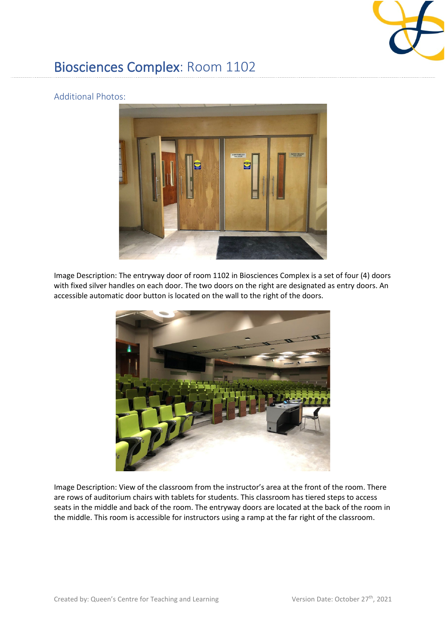

## Biosciences Complex: Room 1102

## Additional Photos:



Image Description: The entryway door of room 1102 in Biosciences Complex is a set of four (4) doors with fixed silver handles on each door. The two doors on the right are designated as entry doors. An accessible automatic door button is located on the wall to the right of the doors.



Image Description: View of the classroom from the instructor's area at the front of the room. There are rows of auditorium chairs with tablets for students. This classroom has tiered steps to access seats in the middle and back of the room. The entryway doors are located at the back of the room in the middle. This room is accessible for instructors using a ramp at the far right of the classroom.